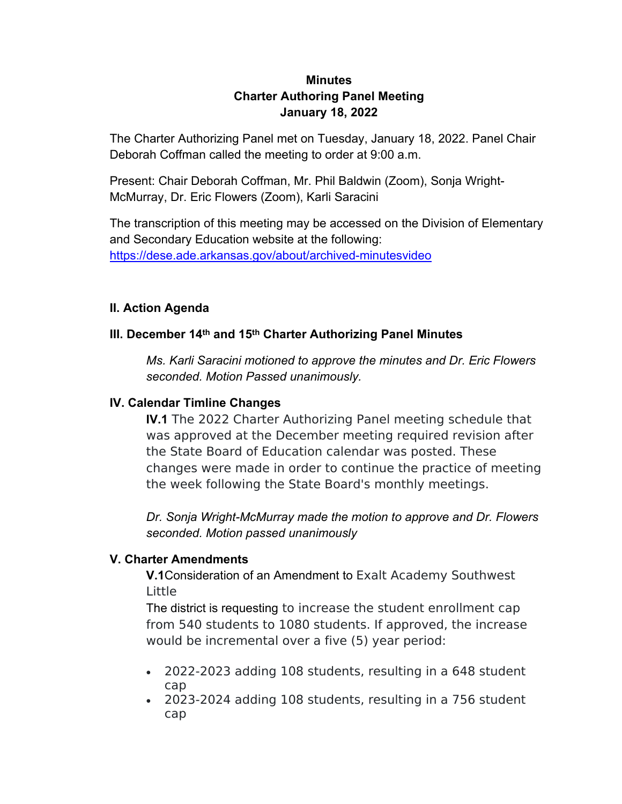# **Minutes Charter Authoring Panel Meeting January 18, 2022**

The Charter Authorizing Panel met on Tuesday, January 18, 2022. Panel Chair Deborah Coffman called the meeting to order at 9:00 a.m.

Present: Chair Deborah Coffman, Mr. Phil Baldwin (Zoom), Sonja Wright-McMurray, Dr. Eric Flowers (Zoom), Karli Saracini

The transcription of this meeting may be accessed on the Division of Elementary and Secondary Education website at the following: <https://dese.ade.arkansas.gov/about/archived-minutesvideo>

### **II. Action Agenda**

## **III. December 14th and 15th Charter Authorizing Panel Minutes**

*Ms. Karli Saracini motioned to approve the minutes and Dr. Eric Flowers seconded. Motion Passed unanimously.*

### **IV. Calendar Timline Changes**

**IV.1** The 2022 Charter Authorizing Panel meeting schedule that was approved at the December meeting required revision after the State Board of Education calendar was posted. These changes were made in order to continue the practice of meeting the week following the State Board's monthly meetings.

*Dr. Sonja Wright-McMurray made the motion to approve and Dr. Flowers seconded. Motion passed unanimously*

### **V. Charter Amendments**

**V.1**Consideration of an Amendment to Exalt Academy Southwest Little

The district is requesting to increase the student enrollment cap from 540 students to 1080 students. If approved, the increase would be incremental over a five (5) year period:

- 2022-2023 adding 108 students, resulting in a 648 student cap
- 2023-2024 adding 108 students, resulting in a 756 student cap